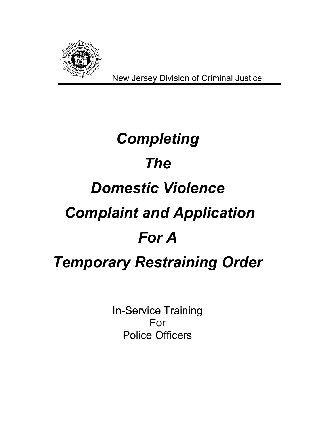

# *Completing The Domestic Violence Complaint and Application For A Temporary Restraining Order*

In-Service Training For Police Officers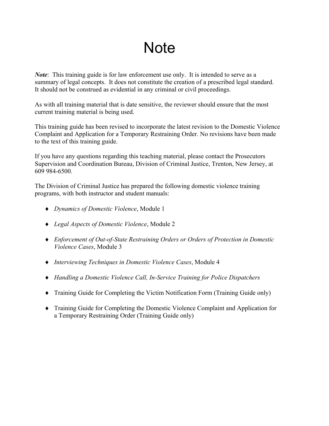# **Note**

*Note*: This training guide is for law enforcement use only. It is intended to serve as a summary of legal concepts. It does not constitute the creation of a prescribed legal standard. It should not be construed as evidential in any criminal or civil proceedings.

As with all training material that is date sensitive, the reviewer should ensure that the most current training material is being used.

This training guide has been revised to incorporate the latest revision to the Domestic Violence Complaint and Application for a Temporary Restraining Order. No revisions have been made to the text of this training guide.

If you have any questions regarding this teaching material, please contact the Prosecutors Supervision and Coordination Bureau, Division of Criminal Justice, Trenton, New Jersey, at 609 984-6500.

The Division of Criminal Justice has prepared the following domestic violence training programs, with both instructor and student manuals:

- ♦ *Dynamics of Domestic Violence*, Module 1
- ♦ *Legal Aspects of Domestic Violence*, Module 2
- ♦ *Enforcement of Out-of-State Restraining Orders or Orders of Protection in Domestic Violence Cases*, Module 3
- ♦ *Interviewing Techniques in Domestic Violence Cases*, Module 4
- ♦ *Handling a Domestic Violence Call, In-Service Training for Police Dispatchers*
- ♦ Training Guide for Completing the Victim Notification Form (Training Guide only)
- ♦ Training Guide for Completing the Domestic Violence Complaint and Application for a Temporary Restraining Order (Training Guide only)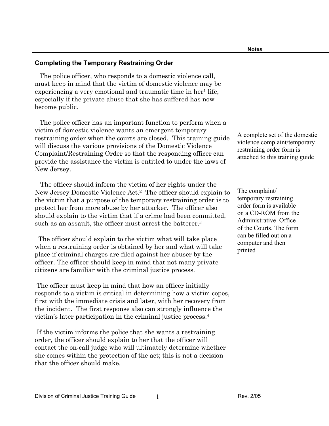#### **Notes**

### The police officer, who responds to a domestic violence call, must keep in mind that the victim of domestic violence may be experiencing a very emotional and traumatic time in her<sup>1</sup> life, especially if the private abuse that she has suffered has now

become public. The police officer has an important function to perform when a victim of domestic violence wants an emergent temporary

**Completing the Temporary Restraining Order**

restraining order when the courts are closed. This training guide will discuss the various provisions of the Domestic Violence Complaint/Restraining Order so that the responding officer can provide the assistance the victim is entitled to under the laws of New Jersey.

 The officer should inform the victim of her rights under the New Jersey Domestic Violence Act.2 The officer should explain to the victim that a purpose of the temporary restraining order is to protect her from more abuse by her attacker. The officer also should explain to the victim that if a crime had been committed, such as an assault, the officer must arrest the batterer.<sup>3</sup>

 The officer should explain to the victim what will take place when a restraining order is obtained by her and what will take place if criminal charges are filed against her abuser by the officer. The officer should keep in mind that not many private citizens are familiar with the criminal justice process.

 The officer must keep in mind that how an officer initially responds to a victim is critical in determining how a victim copes, first with the immediate crisis and later, with her recovery from the incident. The first response also can strongly influence the victim's later participation in the criminal justice process.4

 If the victim informs the police that she wants a restraining order, the officer should explain to her that the officer will contact the on-call judge who will ultimately determine whether she comes within the protection of the act; this is not a decision that the officer should make.

A complete set of the domestic violence complaint/temporary restraining order form is attached to this training guide

The complaint/ temporary restraining order form is available on a CD-ROM from the Administrative Office of the Courts. The form can be filled out on a computer and then printed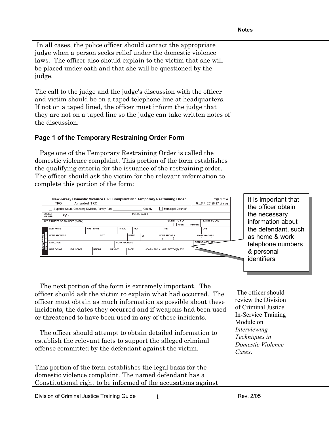In all cases, the police officer should contact the appropriate judge when a person seeks relief under the domestic violence laws. The officer also should explain to the victim that she will be placed under oath and that she will be questioned by the judge.

The call to the judge and the judge's discussion with the officer and victim should be on a taped telephone line at headquarters. If not on a taped lined, the officer must inform the judge that they are not on a taped line so the judge can take written notes of the discussion.

## **Page 1 of the Temporary Restraining Order Form**

Page one of the Temporary Restraining Order is called the domestic violence complaint. This portion of the form establishes the qualifying criteria for the issuance of the restraining order. The officer should ask the victim for the relevant information to complete this portion of the form:



The next portion of the form is extremely important. The officer should ask the victim to explain what had occurred. The officer must obtain as much information as possible about these incidents, the dates they occurred and if weapons had been used or threatened to have been used in any of these incidents.

The officer should attempt to obtain detailed information to establish the relevant facts to support the alleged criminal offense committed by the defendant against the victim.

This portion of the form establishes the legal basis for the domestic violence complaint. The named defendant has a Constitutional right to be informed of the accusations against

It is important that the officer obtain the necessary information about the defendant, such as home & work telephone numbers & personal identifiers

 The officer should review the Division of Criminal Justice In-Service Training Module on *Interviewing Techniques in Domestic Violence Cases*.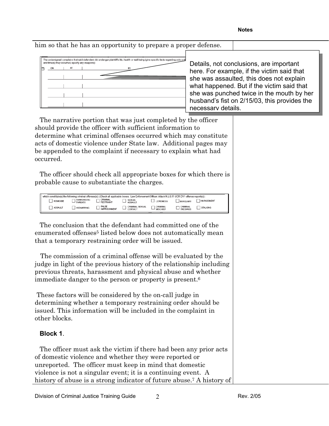| him so that he has an opportunity to prepare a proper defense.<br>The undersigned complains that said defendant did endanger plaintiff's life, health or well being (give specific facts regarding acts or t<br>and time(s) they occurred; specify any weapons); | Details, not conclusions, are important<br>here. For example, if the victim said that<br>she was assaulted, this does not explain<br>what happened. But if the victim said that<br>she was punched twice in the mouth by her<br>husband's fist on 2/15/03, this provides the<br>necessary details. |
|------------------------------------------------------------------------------------------------------------------------------------------------------------------------------------------------------------------------------------------------------------------|----------------------------------------------------------------------------------------------------------------------------------------------------------------------------------------------------------------------------------------------------------------------------------------------------|
| The narrative portion that was just completed by the officer                                                                                                                                                                                                     |                                                                                                                                                                                                                                                                                                    |
| should provide the officer with sufficient information to                                                                                                                                                                                                        |                                                                                                                                                                                                                                                                                                    |
| determine what criminal offenses occurred which may constitute                                                                                                                                                                                                   |                                                                                                                                                                                                                                                                                                    |
| acts of domestic violence under State law. Additional pages may                                                                                                                                                                                                  |                                                                                                                                                                                                                                                                                                    |

The officer should check all appropriate boxes for which there is probable cause to substantiate the charges.

be appended to the complaint if necessary to explain what had

|          |                                      |                                     | which constitute(s) the following criminal offenses(s): (Check all applicable boxes. Law Enforcement Officer: Attach N.J.S.P. UCR DV1 offense report(s)): |                             |                                    |                   |  |
|----------|--------------------------------------|-------------------------------------|-----------------------------------------------------------------------------------------------------------------------------------------------------------|-----------------------------|------------------------------------|-------------------|--|
| HOMICIDE | <b>TERRORISTIC</b><br><b>THREATS</b> | CRIMINAL<br>RESTRAINT               | SEXUAL<br><b>ASSAULT</b>                                                                                                                                  | <b>LEWDNESS</b>             | BURGLARY                           | <b>HARASSMENT</b> |  |
| ASSAULT  | <b>KIDNAPPING</b>                    | <b>FALSE</b><br><b>IMPRISONMENT</b> | CRIMINAL SEXUAL<br>CONTACT                                                                                                                                | CRIMINAL<br><b>MISCHIEF</b> | <b>CRIMINAL</b><br><b>TRESPASS</b> | <b>STALKING</b>   |  |
|          |                                      |                                     |                                                                                                                                                           |                             |                                    |                   |  |

The conclusion that the defendant had committed one of the enumerated offenses<sup>5</sup> listed below does not automatically mean that a temporary restraining order will be issued.

 The commission of a criminal offense will be evaluated by the judge in light of the previous history of the relationship including previous threats, harassment and physical abuse and whether immediate danger to the person or property is present.6

 These factors will be considered by the on-call judge in determining whether a temporary restraining order should be issued. This information will be included in the complaint in other blocks.

#### **Block 1**.

occurred.

The officer must ask the victim if there had been any prior acts of domestic violence and whether they were reported or unreported. The officer must keep in mind that domestic violence is not a singular event; it is a continuing event. A history of abuse is a strong indicator of future abuse.<sup>7</sup> A history of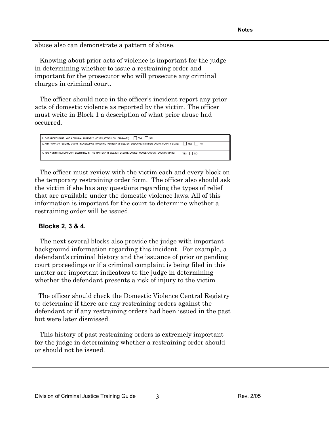abuse also can demonstrate a pattern of abuse.

Knowing about prior acts of violence is important for the judge in determining whether to issue a restraining order and important for the prosecutor who will prosecute any criminal charges in criminal court.

The officer should note in the officer's incident report any prior acts of domestic violence as reported by the victim. The officer must write in Block 1 a description of what prior abuse had occurred.

| $\Box$ YES $\Box$ NO<br>2. DOES DEFENDANT HAVE A CRIMINAL HISTORY? (IF YES, ATTACH CCH SUMMARY)                                      |
|--------------------------------------------------------------------------------------------------------------------------------------|
| YES<br>3. ANY PRIOR OR PENDING COURT PROCEEDINGS INVOLVING PARTIES? (IF YES, ENTER DOCKET NUMBER, COURT, COUNTY, STATE)<br><b>NO</b> |
|                                                                                                                                      |
| 4. HAS A CRIMINAL COMPLAINT BEEN FILED IN THIS MATTER? (IF YES, ENTER DATE, DOCKET NUMBER, COURT, COUNTY, STATE)<br>YES NO           |

The officer must review with the victim each and every block on the temporary restraining order form. The officer also should ask the victim if she has any questions regarding the types of relief that are available under the domestic violence laws. All of this information is important for the court to determine whether a restraining order will be issued.

#### **Blocks 2, 3 & 4.**

The next several blocks also provide the judge with important background information regarding this incident. For example, a defendant's criminal history and the issuance of prior or pending court proceedings or if a criminal complaint is being filed in this matter are important indicators to the judge in determining whether the defendant presents a risk of injury to the victim

 The officer should check the Domestic Violence Central Registry to determine if there are any restraining orders against the defendant or if any restraining orders had been issued in the past but were later dismissed.

This history of past restraining orders is extremely important for the judge in determining whether a restraining order should or should not be issued.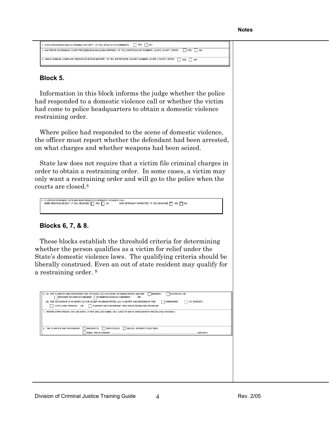```
2. DOES DEFENDANT HAVE A CRIMINAL HISTORY? (IF YES, ATTACH CCH SUMMARY) | YES | NO
3. ANY PRIOR OR PENDING COURT PROCEEDINGS INVOLVING PARTIES? (IF YES, ENTER DOCKET NUMBER, COURT, COUNTY, STATE) TES
4, HASA CRIMINAL COMPLAINT BEEN FILED IN THIS MATTER? (IF YES, ENTER DATE, DOCKET NUMBER, COURT, COUNTY, STATE) TES
```
#### **Block 5.**

Information in this block informs the judge whether the police had responded to a domestic violence call or whether the victim had come to police headquarters to obtain a domestic violence restraining order.

Where police had responded to the scene of domestic violence, the officer must report whether the defendant had been arrested, on what charges and whether weapons had been seized.

State law does not require that a victim file criminal charges in order to obtain a restraining order. In some cases, a victim may only want a restraining order and will go to the police when the courts are closed.8

```
IF LAW ENFORCEMENT OFFICERS RESPONDED TO A DOMESTIC VIOLENCE CALL:<br>WERE WEAPONS SEIZED? IF YES, DESCRIBE \Box YES \Box NO WAS DEFENDANT ARRESTED? IF YES, DESCRIBE \Box YES \Box NO
```
#### **Blocks 6, 7, & 8.**

These blocks establish the threshold criteria for determining whether the person qualifies as a victim for relief under the State's domestic violence laws. The qualifying criteria should be liberally construed. Even an out of state resident may qualify for a restraining order. 9

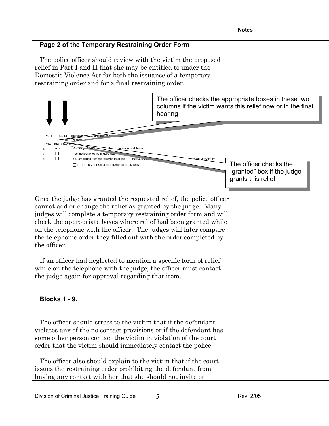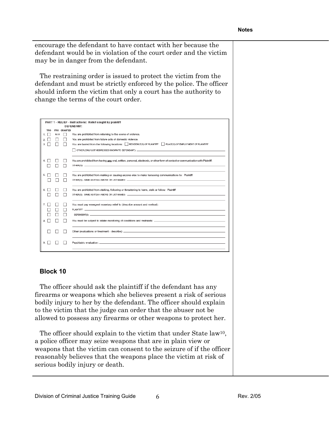encourage the defendant to have contact with her because the defendant would be in violation of the court order and the victim may be in danger from the defendant.

The restraining order is issued to protect the victim from the defendant and must be strictly enforced by the police. The officer should inform the victim that only a court has the authority to change the terms of the court order.

|                     | PART 1 - RELIEF - Instructions: Relief sought by plaintiff<br><b>DEFENDANT:</b>                                                   |
|---------------------|-----------------------------------------------------------------------------------------------------------------------------------|
|                     |                                                                                                                                   |
| N/A<br>$\mathbf{L}$ | You are prohibited from returning to the scene of violence.                                                                       |
|                     | You are prohibited from future acts of domestic violence.                                                                         |
|                     | You are barred from the following locations: RESIDENCE(S) OF PLAINTIFF PLACE(S) OF EMPLOYMENT OF PLAINTIFF                        |
|                     |                                                                                                                                   |
|                     | You are prohibited from having any oral, written, personal, electronic, or other form of contact or communication with Plaintiff. |
|                     | You are prohibited from making or causing anyone else to make harassing communications to: Plaintiff                              |
|                     | You are prohibited from stalking, following or threatening to harm, stalk or follow: Plaintiff                                    |
|                     | You must pay emergent monetary relief to (describe amount and method):                                                            |
|                     |                                                                                                                                   |
|                     |                                                                                                                                   |
|                     |                                                                                                                                   |
|                     |                                                                                                                                   |
|                     | FRO GRANTED                                                                                                                       |

#### **Block 10**

The officer should ask the plaintiff if the defendant has any firearms or weapons which she believes present a risk of serious bodily injury to her by the defendant. The officer should explain to the victim that the judge can order that the abuser not be allowed to possess any firearms or other weapons to protect her.

The officer should explain to the victim that under State law<sup>10</sup>, a police officer may seize weapons that are in plain view or weapons that the victim can consent to the seizure of if the officer reasonably believes that the weapons place the victim at risk of serious bodily injury or death.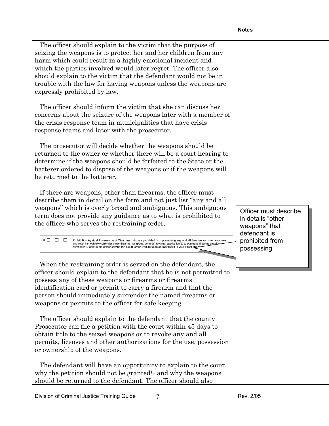The officer should explain to the victim that the purpose of seizing the weapons is to protect her and her children from any harm which could result in a highly emotional incident and which the parties involved would later regret. The officer also should explain to the victim that the defendant would not be in trouble with the law for having weapons unless the weapons are expressly prohibited by law.

The officer should inform the victim that she can discuss her concerns about the seizure of the weapons later with a member of the crisis response team in municipalities that have crisis response teams and later with the prosecutor.

The prosecutor will decide whether the weapons should be returned to the owner or whether there will be a court hearing to determine if the weapons should be forfeited to the State or the batterer ordered to dispose of the weapons or if the weapons will be returned to the batterer.

If there are weapons, other than firearms, the officer must describe them in detail on the form and not just list "any and all weapons" which is overly broad and ambiguous. This ambiguous term does not provide any guidance as to what is prohibited to the officer who serves the restraining order.

 $10.$ Prohibition Against Possession of Weapons: You are prohibited from possessing any and all firearms or other weapon and must immediately surrender these firearms, weapons, permit(s) to carry, application(s) to purchase firearms and fir purchaser ID card to the officer serving this Court Order: Failure to do so may result in your a

When the restraining order is served on the defendant, the officer should explain to the defendant that he is not permitted to possess any of these weapons or firearms or firearms identification card or permit to carry a firearm and that the person should immediately surrender the named firearms or weapons or permits to the officer for safe keeping.

The officer should explain to the defendant that the county Prosecutor can file a petition with the court within 45 days to obtain title to the seized weapons or to revoke any and all permits, licenses and other authorizations for the use, possession or ownership of the weapons.

The defendant will have an opportunity to explain to the court why the petition should not be granted<sup>11</sup> and why the weapons should be returned to the defendant. The officer should also

Officer must describe in details "other weapons" that defendant is prohibited from possessing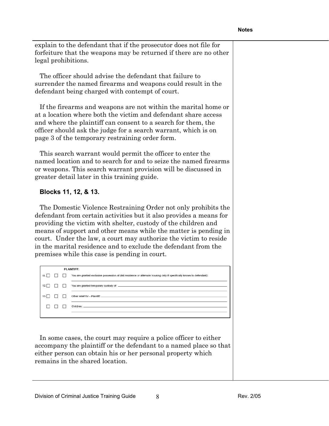explain to the defendant that if the prosecutor does not file for forfeiture that the weapons may be returned if there are no other legal prohibitions.

The officer should advise the defendant that failure to surrender the named firearms and weapons could result in the defendant being charged with contempt of court.

If the firearms and weapons are not within the marital home or at a location where both the victim and defendant share access and where the plaintiff can consent to a search for them, the officer should ask the judge for a search warrant, which is on page 3 of the temporary restraining order form.

This search warrant would permit the officer to enter the named location and to search for and to seize the named firearms or weapons. This search warrant provision will be discussed in greater detail later in this training guide.

#### **Blocks 11, 12, & 13.**

The Domestic Violence Restraining Order not only prohibits the defendant from certain activities but it also provides a means for providing the victim with shelter, custody of the children and means of support and other means while the matter is pending in court. Under the law, a court may authorize the victim to reside in the marital residence and to exclude the defendant from the premises while this case is pending in court.

|      |  | <b>PLAINTIFF:</b>                                                                                                      |
|------|--|------------------------------------------------------------------------------------------------------------------------|
| 11.  |  | You are granted exclusive possession of (list residence or alternate housing only if specifically known to defendant): |
| 12.1 |  |                                                                                                                        |
| 13.1 |  |                                                                                                                        |
|      |  |                                                                                                                        |
|      |  |                                                                                                                        |

In some cases, the court may require a police officer to either accompany the plaintiff or the defendant to a named place so that either person can obtain his or her personal property which remains in the shared location.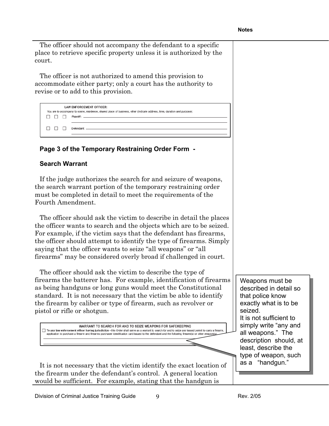The officer should not accompany the defendant to a specific place to retrieve specific property unless it is authorized by the court.

The officer is not authorized to amend this provision to accommodate either party; only a court has the authority to revise or to add to this provision.

|  |              | LAW ENFORCEMENT OFFICER:<br>You are to accompany to scene, residence, shared place of business, other (indicate address, time, duration and purpose): |
|--|--------------|-------------------------------------------------------------------------------------------------------------------------------------------------------|
|  | $\mathbf{1}$ |                                                                                                                                                       |
|  |              |                                                                                                                                                       |
|  |              |                                                                                                                                                       |
|  |              |                                                                                                                                                       |
|  |              |                                                                                                                                                       |

### **Page 3 of the Temporary Restraining Order Form -**

#### **Search Warrant**

If the judge authorizes the search for and seizure of weapons, the search warrant portion of the temporary restraining order must be completed in detail to meet the requirements of the Fourth Amendment.

The officer should ask the victim to describe in detail the places the officer wants to search and the objects which are to be seized. For example, if the victim says that the defendant has firearms, the officer should attempt to identify the type of firearms. Simply saying that the officer wants to seize "all weapons" or "all firearms" may be considered overly broad if challenged in court.

The officer should ask the victim to describe the type of firearms the batterer has. For example, identification of firearms as being handguns or long guns would meet the Constitutional standard. It is not necessary that the victim be able to identify the firearm by caliber or type of firearm, such as revolver or pistol or rifle or shotgun.

WARRANT TO SEARCH FOR AND TO SEIZE WEAPONS FOR SAFEKEEPING To any law enforcement officer having jurisdiction - this Order shall serve as a warrant to search for and to seize any issued permit to carry a firearm unication to purchase a firearm and firearms purchaser identification card issued to the defendant and the following firearm(s) or other weapon(s);

It is not necessary that the victim identify the exact location of the firearm under the defendant's control. A general location would be sufficient. For example, stating that the handgun is

Weapons must be described in detail so that police know exactly what is to be seized. It is not sufficient to simply write "any and all weapons." The description should, at least, describe the type of weapon, such as a "handgun."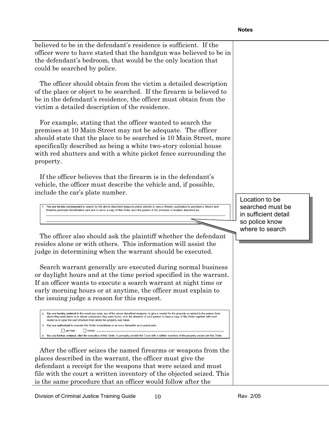| believed to be in the defendant's residence is sufficient. If the<br>officer were to have stated that the handgun was believed to be in<br>the defendant's bedroom, that would be the only location that<br>could be searched by police.                                                                                                                                                                                                                                                                                                                                                                                                                                  |                                                                              |
|---------------------------------------------------------------------------------------------------------------------------------------------------------------------------------------------------------------------------------------------------------------------------------------------------------------------------------------------------------------------------------------------------------------------------------------------------------------------------------------------------------------------------------------------------------------------------------------------------------------------------------------------------------------------------|------------------------------------------------------------------------------|
| The officer should obtain from the victim a detailed description<br>of the place or object to be searched. If the firearm is believed to<br>be in the defendant's residence, the officer must obtain from the<br>victim a detailed description of the residence.                                                                                                                                                                                                                                                                                                                                                                                                          |                                                                              |
| For example, stating that the officer wanted to search the<br>premises at 10 Main Street may not be adequate. The officer<br>should state that the place to be searched is 10 Main Street, more<br>specifically described as being a white two-story colonial house<br>with red shutters and with a white picket fence surrounding the<br>property.                                                                                                                                                                                                                                                                                                                       |                                                                              |
| If the officer believes that the firearm is in the defendant's<br>vehicle, the officer must describe the vehicle and, if possible,<br>include the car's plate number.                                                                                                                                                                                                                                                                                                                                                                                                                                                                                                     |                                                                              |
| You are hereby commanded to search for the above described weapons and/or permits to carry a firearm, application to purchase a firearm and<br>firearms purchaser identification card and to serve a copy of this Order upon the person at the premises or location described as:                                                                                                                                                                                                                                                                                                                                                                                         | Location to be<br>searched must be<br>in sufficient detail<br>so police know |
| The officer also should ask the plaintiff whether the defendant                                                                                                                                                                                                                                                                                                                                                                                                                                                                                                                                                                                                           | where to search                                                              |
| resides alone or with others. This information will assist the<br>judge in determining when the warrant should be executed.                                                                                                                                                                                                                                                                                                                                                                                                                                                                                                                                               |                                                                              |
| Search warrant generally are executed during normal business<br>or daylight hours and at the time period specified in the warrant.<br>If an officer wants to execute a search warrant at night time or<br>early morning hours or at anytime, the officer must explain to<br>the issuing judge a reason for this request.                                                                                                                                                                                                                                                                                                                                                  |                                                                              |
| 2. You are hereby ordered in the event you seize any of the above described weapons, to give a receipt for the property so seized to the person from<br>whom they were taken or in whose possession they were found, or in the absence of such person to have a copy of this Order together with such<br>receipt in or upon the said structure from which the property was taken.<br>3. You are authorized to execute this Order immediately or as soon thereafter as is practicable:<br>ANYTIME<br>OTHER:<br>4. You are further ordered, after the execution of this Order, to promptly provide the Court with a written inventory of the property seized per this Order |                                                                              |
| After the officer seizes the named firearms or weapons from the<br>places described in the warrant, the officer must give the<br>defendant a receipt for the weapons that were seized and must<br>file with the court a written inventory of the objected seized. This<br>is the same procedure that an officer would follow after the                                                                                                                                                                                                                                                                                                                                    |                                                                              |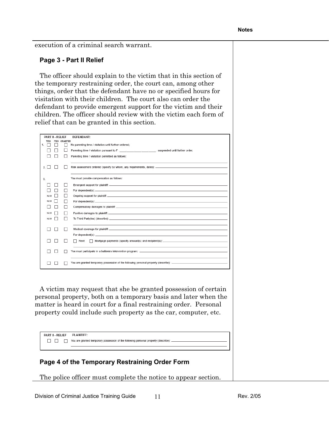execution of a criminal search warrant.

#### **Page 3 - Part II Relief**

The officer should explain to the victim that in this section of the temporary restraining order, the court can, among other things, order that the defendant have no or specified hours for visitation with their children. The court also can order the defendant to provide emergent support for the victim and their children. The officer should review with the victim each form of relief that can be granted in this section.

| PART II - RELIEF |                              | <b>DEFENDANT:</b>                                                                             |
|------------------|------------------------------|-----------------------------------------------------------------------------------------------|
| <b>TRO</b>       | <b>GRANTED</b><br><b>FRO</b> |                                                                                               |
| 1.               |                              | No parenting time / visitation until further ordered;                                         |
|                  |                              | Parenting time / visitation pursuant to F and the metal of the suspended until further order: |
|                  |                              | Parenting time / visitation permitted as follows:                                             |
| 2.1              |                              |                                                                                               |
| 3.               |                              | You must provide compensation as follows:                                                     |
|                  |                              |                                                                                               |
|                  |                              |                                                                                               |
| N/A              |                              |                                                                                               |
| N/A              |                              |                                                                                               |
|                  |                              |                                                                                               |
| N/A              |                              |                                                                                               |
| N/A              |                              |                                                                                               |
|                  |                              |                                                                                               |
|                  |                              |                                                                                               |
|                  |                              | For dependent(s): $\qquad \qquad$                                                             |
|                  |                              | Rent                                                                                          |
|                  |                              |                                                                                               |
|                  |                              |                                                                                               |
|                  |                              |                                                                                               |
|                  |                              |                                                                                               |

A victim may request that she be granted possession of certain personal property, both on a temporary basis and later when the matter is heard in court for a final restraining order. Personal property could include such property as the car, computer, etc.

| PART II - RELIEF | PLAINTIFF:                                                                             |
|------------------|----------------------------------------------------------------------------------------|
|                  | You are granted temporary possession of the following personal property (describe): __ |

#### **Page 4 of the Temporary Restraining Order Form**

The police officer must complete the notice to appear section.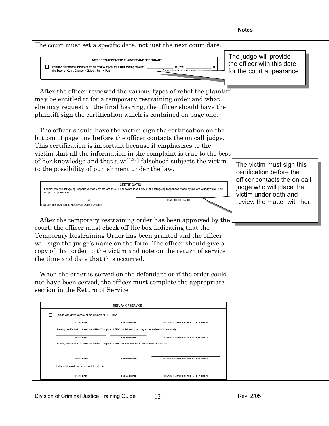#### The court must set a specific date, not just the next court date. The judge will provide NOTICE TO APPEAR TO PLAINTIFF AND DEFENDANT the officer with this date  $\Box$ Both the plaintiff and defendant are ordered to appear for a final hearing on (date) at (time) the Superior Court, Chancery Division, Family Part, for the court appearanceAfter the officer reviewed the various types of relief the plaintiff may be entitled to for a temporary restraining order and what she may request at the final hearing, the officer should have the plaintiff sign the certification which is contained on page one. The officer should have the victim sign the certification on the bottom of page one **before** the officer contacts the on call judge. This certification is important because it emphasizes to the victim that all the information in the complaint is true to the best of her knowledge and that a willful falsehood subjects the victim The victim must sign this to the possibility of punishment under the law. certification before the officer contacts the on-call **CERTIFICATION** judge who will place the I certify that the foregoing responses made by me are true. I am aware that if any of the foregoing responses made by me are willfully false, I am subject to punishment. victim under oath and DATE SIGNATURE OF PLAINTIFF review the matter with her. OURT ORD After the temporary restraining order has been approved by the court, the officer must check off the box indicating that the Temporary Restraining Order has been granted and the officer will sign the judge's name on the form. The officer should give a copy of that order to the victim and note on the return of service the time and date that this occurred. When the order is served on the defendant or if the order could not have been served, the officer must complete the appropriate section in the Return of Service **RETURN OF SERVICE** Plaintiff was given a copy of the Complaint / TRO by: **PRINT NAME** TIME AND DATE SIGNATURE / BADGE NUMBER / DEPARTMENT I hereby certify that I served the within Complaint / TRO by delivering a copy to the defendant personally **DRINT NAME** TIME AND DATE SIGNATURE / RADGE NUMBER / DEPARTMENT I hereby certify that I served the within Complaint / TRO by use of substituted service as follows PRINT NAME TIME AND DATE SIGNATURE / BADGE NUMBER / DEPARTMEN Defendant could not be served (explain); **PRINT NAME** TIME AND DATE SIGNATURE / BADGE NUMBER / DEPARTMENT

**Notes**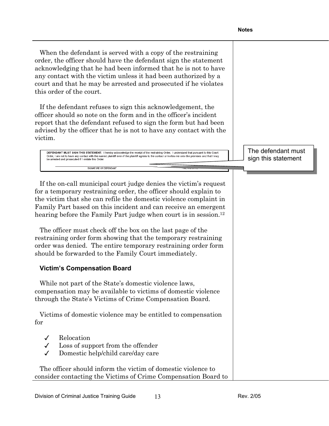When the defendant is served with a copy of the restraining order, the officer should have the defendant sign the statement acknowledging that he had been informed that he is not to have any contact with the victim unless it had been authorized by a court and that he may be arrested and prosecuted if he violates this order of the court.

If the defendant refuses to sign this acknowledgement, the officer should so note on the form and in the officer's incident report that the defendant refused to sign the form but had been advised by the officer that he is not to have any contact with the victim.

DEFENDANT MUST SIGN THIS STATEMENT: I hereby acknowledge the receipt of the restraining Order. I understand that pursuant to this Court Order, I am not to have any contact with the named plaintiff even if the plaintiff ag<br>be arrested and prosecuted if I violate this Order. es to the contact or invites me onto the r and that I may

SIGNATURE OF DEFENDANT

The defendant must sign this statement

If the on-call municipal court judge denies the victim's request for a temporary restraining order, the officer should explain to the victim that she can refile the domestic violence complaint in Family Part based on this incident and can receive an emergent hearing before the Family Part judge when court is in session.<sup>12</sup>

The officer must check off the box on the last page of the restraining order form showing that the temporary restraining order was denied. The entire temporary restraining order form should be forwarded to the Family Court immediately.

#### **Victim's Compensation Board**

While not part of the State's domestic violence laws, compensation may be available to victims of domestic violence through the State's Victims of Crime Compensation Board.

Victims of domestic violence may be entitled to compensation for

- $\checkmark$  Relocation
- $\checkmark$  Loss of support from the offender
- Domestic help/child care/day care

The officer should inform the victim of domestic violence to consider contacting the Victims of Crime Compensation Board to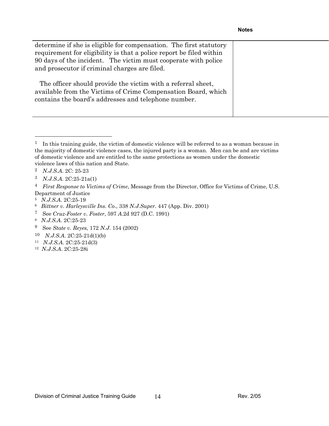| determine if she is eligible for compensation. The first statutory<br>requirement for eligibility is that a police report be filed within<br>90 days of the incident. The victim must cooperate with police<br>and prosecutor if criminal charges are filed. |  |
|--------------------------------------------------------------------------------------------------------------------------------------------------------------------------------------------------------------------------------------------------------------|--|
| The officer should provide the victim with a referral sheet,<br>available from the Victims of Crime Compensation Board, which<br>contains the board's addresses and telephone number.                                                                        |  |

 $\overline{a}$ 

 $1$  In this training guide, the victim of domestic violence will be referred to as a woman because in the majority of domestic violence cases, the injured party is a woman. Men can be and are victims of domestic violence and are entitled to the same protections as women under the domestic violence laws of this nation and State.

<sup>2</sup> *N.J.S.A*. 2C: 25-23

<sup>3</sup> *N.J.S.A*. 2C:25-21a(1)

<sup>4</sup> *First Response to Victims of Crime*, Message from the Director, Office for Victims of Crime, U.S. Department of Justice

<sup>5</sup> *N.J.S.A*. 2C:25-19

<sup>6</sup> *Bittner v. Harleysville Ins. Co*., 338 *N.J.Super*. 447 (App. Div. 2001)

<sup>7</sup> See *Cruz-Foster v. Foster*, 597 *A*.2d 927 (D.C. 1991)

<sup>8</sup> *N.J.S.A*. 2C:25-23

<sup>9</sup> See *State v. Reyes,* 172 *N.J*. 154 (2002)

<sup>10</sup> *N.J.S.A*. 2C:25-21d(1)(b)

<sup>11</sup> *N.J.S.A*. 2C:25-21d(3)

<sup>12</sup> *N.J.S.A*. 2C:25-28i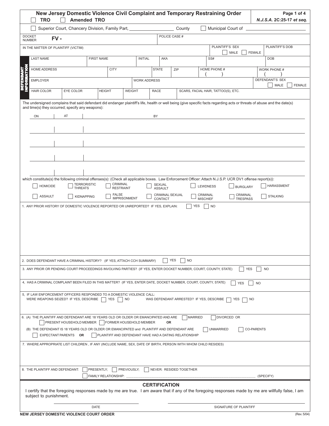|                                                                                                                                                                                                                                                                                                                                                                                                                                                                                                                                                                                                                                     | <b>TRO</b>                                                                                                        | <b>Amended TRO</b> |                                     |                     |                            |                                                        |                             | New Jersey Domestic Violence Civil Complaint and Temporary Restraining Order                                                                              | Page 1 of 4<br>N.J.S.A. 2C:25-17 et seq.                                                                                                                                  |
|-------------------------------------------------------------------------------------------------------------------------------------------------------------------------------------------------------------------------------------------------------------------------------------------------------------------------------------------------------------------------------------------------------------------------------------------------------------------------------------------------------------------------------------------------------------------------------------------------------------------------------------|-------------------------------------------------------------------------------------------------------------------|--------------------|-------------------------------------|---------------------|----------------------------|--------------------------------------------------------|-----------------------------|-----------------------------------------------------------------------------------------------------------------------------------------------------------|---------------------------------------------------------------------------------------------------------------------------------------------------------------------------|
|                                                                                                                                                                                                                                                                                                                                                                                                                                                                                                                                                                                                                                     | Superior Court, Chancery Division, Family Part,                                                                   |                    |                                     |                     |                            | County                                                 |                             |                                                                                                                                                           |                                                                                                                                                                           |
| <b>DOCKET</b><br><b>NUMBER</b>                                                                                                                                                                                                                                                                                                                                                                                                                                                                                                                                                                                                      | $FV -$                                                                                                            |                    |                                     |                     |                            | POLICE CASE #                                          |                             |                                                                                                                                                           |                                                                                                                                                                           |
| IN THE MATTER OF PLAINTIFF (VICTIM)                                                                                                                                                                                                                                                                                                                                                                                                                                                                                                                                                                                                 |                                                                                                                   |                    |                                     |                     |                            |                                                        |                             | PLAINTIFF'S SEX<br>MALE                                                                                                                                   | PLAINTIFF'S DOB<br><b>FEMALE</b>                                                                                                                                          |
| <b>LAST NAME</b>                                                                                                                                                                                                                                                                                                                                                                                                                                                                                                                                                                                                                    |                                                                                                                   | <b>FIRST NAME</b>  |                                     | <b>INITIAL</b>      | AKA                        |                                                        |                             | SS#                                                                                                                                                       | <b>DOB</b>                                                                                                                                                                |
| <b>HOME ADDRESS</b>                                                                                                                                                                                                                                                                                                                                                                                                                                                                                                                                                                                                                 |                                                                                                                   |                    | <b>CITY</b>                         |                     | <b>STATE</b>               | ZIP                                                    |                             | HOME PHONE #                                                                                                                                              | WORK PHONE #                                                                                                                                                              |
| <b>EMPLOYER</b>                                                                                                                                                                                                                                                                                                                                                                                                                                                                                                                                                                                                                     |                                                                                                                   |                    |                                     | <b>WORK ADDRESS</b> |                            |                                                        |                             |                                                                                                                                                           | <b>DEFENDANT'S SEX</b><br>MALE<br><b>FEMALE</b>                                                                                                                           |
| Θ<br>z<br><b>HAIR COLOR</b>                                                                                                                                                                                                                                                                                                                                                                                                                                                                                                                                                                                                         | EYE COLOR                                                                                                         |                    | <b>HEIGHT</b>                       | <b>WEIGHT</b>       | <b>RACE</b>                |                                                        |                             | SCARS, FACIAL HAIR, TATTOO(S), ETC.                                                                                                                       |                                                                                                                                                                           |
| and time(s) they occurred; specify any weapons):                                                                                                                                                                                                                                                                                                                                                                                                                                                                                                                                                                                    |                                                                                                                   |                    |                                     |                     |                            |                                                        |                             |                                                                                                                                                           | The undersigned complains that said defendant did endanger plaintiff's life, health or well being (give specific facts regarding acts or threats of abuse and the date(s) |
| ON                                                                                                                                                                                                                                                                                                                                                                                                                                                                                                                                                                                                                                  | AT                                                                                                                |                    |                                     |                     | BY                         |                                                        |                             |                                                                                                                                                           |                                                                                                                                                                           |
|                                                                                                                                                                                                                                                                                                                                                                                                                                                                                                                                                                                                                                     |                                                                                                                   |                    |                                     |                     |                            |                                                        |                             |                                                                                                                                                           |                                                                                                                                                                           |
|                                                                                                                                                                                                                                                                                                                                                                                                                                                                                                                                                                                                                                     |                                                                                                                   |                    |                                     |                     |                            |                                                        |                             |                                                                                                                                                           |                                                                                                                                                                           |
|                                                                                                                                                                                                                                                                                                                                                                                                                                                                                                                                                                                                                                     |                                                                                                                   |                    |                                     |                     |                            |                                                        |                             |                                                                                                                                                           |                                                                                                                                                                           |
|                                                                                                                                                                                                                                                                                                                                                                                                                                                                                                                                                                                                                                     |                                                                                                                   |                    |                                     |                     |                            |                                                        |                             |                                                                                                                                                           |                                                                                                                                                                           |
|                                                                                                                                                                                                                                                                                                                                                                                                                                                                                                                                                                                                                                     |                                                                                                                   |                    |                                     |                     |                            |                                                        |                             |                                                                                                                                                           |                                                                                                                                                                           |
|                                                                                                                                                                                                                                                                                                                                                                                                                                                                                                                                                                                                                                     |                                                                                                                   |                    |                                     |                     |                            |                                                        |                             |                                                                                                                                                           |                                                                                                                                                                           |
|                                                                                                                                                                                                                                                                                                                                                                                                                                                                                                                                                                                                                                     |                                                                                                                   | <b>TERRORISTIC</b> | CRIMINAL                            |                     | SEXUAL                     |                                                        |                             | which constitute(s) the following criminal offenses(s): (Check all applicable boxes. Law Enforcement Officer: Attach N.J.S.P. UCR DV1 offense report(s)): |                                                                                                                                                                           |
| <b>HOMICIDE</b>                                                                                                                                                                                                                                                                                                                                                                                                                                                                                                                                                                                                                     |                                                                                                                   | <b>THREATS</b>     | <b>RESTRAINT</b>                    |                     | <b>ASSAULT</b>             |                                                        | <b>LEWDNESS</b>             | <b>BURGLARY</b>                                                                                                                                           | <b>HARASSMENT</b>                                                                                                                                                         |
| <b>ASSAULT</b>                                                                                                                                                                                                                                                                                                                                                                                                                                                                                                                                                                                                                      |                                                                                                                   | <b>KIDNAPPING</b>  | <b>FALSE</b><br><b>IMPRISONMENT</b> |                     | CRIMINAL SEXUAL<br>CONTACT |                                                        | CRIMINAL<br><b>MISCHIEF</b> | CRIMINAL<br><b>TRESPASS</b>                                                                                                                               | <b>STALKING</b>                                                                                                                                                           |
|                                                                                                                                                                                                                                                                                                                                                                                                                                                                                                                                                                                                                                     |                                                                                                                   |                    |                                     |                     |                            |                                                        |                             |                                                                                                                                                           |                                                                                                                                                                           |
|                                                                                                                                                                                                                                                                                                                                                                                                                                                                                                                                                                                                                                     |                                                                                                                   |                    |                                     |                     |                            |                                                        |                             |                                                                                                                                                           |                                                                                                                                                                           |
|                                                                                                                                                                                                                                                                                                                                                                                                                                                                                                                                                                                                                                     |                                                                                                                   |                    |                                     |                     |                            | <b>YES</b><br><b>NO</b>                                |                             |                                                                                                                                                           |                                                                                                                                                                           |
|                                                                                                                                                                                                                                                                                                                                                                                                                                                                                                                                                                                                                                     |                                                                                                                   |                    |                                     |                     |                            |                                                        |                             |                                                                                                                                                           | <b>YES</b><br><b>NO</b>                                                                                                                                                   |
|                                                                                                                                                                                                                                                                                                                                                                                                                                                                                                                                                                                                                                     |                                                                                                                   |                    |                                     |                     |                            |                                                        |                             | <b>YES</b>                                                                                                                                                | <b>NO</b>                                                                                                                                                                 |
|                                                                                                                                                                                                                                                                                                                                                                                                                                                                                                                                                                                                                                     | WERE WEAPONS SEIZED? IF YES, DESCRIBE                                                                             |                    | YES<br><b>NO</b>                    |                     |                            | WAS DEFENDANT ARRESTED? IF YES, DESCRIBE               |                             | YES                                                                                                                                                       | NO                                                                                                                                                                        |
|                                                                                                                                                                                                                                                                                                                                                                                                                                                                                                                                                                                                                                     | PRESENT HOUSEHOLD MEMBER                                                                                          |                    | FORMER HOUSEHOLD MEMBER             |                     | 0R                         |                                                        | <b>MARRIED</b>              | DIVORCED OR                                                                                                                                               |                                                                                                                                                                           |
|                                                                                                                                                                                                                                                                                                                                                                                                                                                                                                                                                                                                                                     | (B) THE DEFENDANT IS 18 YEARS OLD OR OLDER OR EMANCIPATED and PLAINTIFF AND DEFENDANT ARE<br>EXPECTANT PARENTS OR |                    |                                     |                     |                            | PLAINTIFF AND DEFENDANT HAVE HAD A DATING RELATIONSHIP |                             | <b>UNMARRIED</b>                                                                                                                                          | CO-PARENTS                                                                                                                                                                |
|                                                                                                                                                                                                                                                                                                                                                                                                                                                                                                                                                                                                                                     |                                                                                                                   |                    |                                     |                     |                            |                                                        |                             |                                                                                                                                                           |                                                                                                                                                                           |
|                                                                                                                                                                                                                                                                                                                                                                                                                                                                                                                                                                                                                                     |                                                                                                                   |                    |                                     |                     |                            |                                                        |                             |                                                                                                                                                           |                                                                                                                                                                           |
|                                                                                                                                                                                                                                                                                                                                                                                                                                                                                                                                                                                                                                     |                                                                                                                   | PRESENTLY:         | FAMILY RELATIONSHIP: _              | PREVIOUSLY;         |                            | NEVER: RESIDED TOGETHER                                |                             |                                                                                                                                                           | (SPECIFY)                                                                                                                                                                 |
| 2. DOES DEFENDANT HAVE A CRIMINAL HISTORY? (IF YES, ATTACH CCH SUMMARY)<br>3. ANY PRIOR OR PENDING COURT PROCEEDINGS INVOLVING PARTIES? (IF YES, ENTER DOCKET NUMBER, COURT, COUNTY, STATE)<br>4, HAS A CRIMINAL COMPLAINT BEEN FILED IN THIS MATTER? (IF YES, ENTER DATE, DOCKET NUMBER, COURT, COUNTY, STATE)<br>5, IF LAW ENFORCEMENT OFFICERS RESPONDED TO A DOMESTIC VIOLENCE CALL:<br>6. (A) THE PLAINTIFF AND DEFENDANT ARE 18 YEARS OLD OR OLDER OR EMANCIPATED AND ARE<br>7. WHERE APPROPRIATE LIST CHILDREN, IF ANY (INCLUDE NAME, SEX, DATE OF BIRTH, PERSON WITH WHOM CHILD RESIDES)<br>8. THE PLAINTIFF AND DEFENDANT: |                                                                                                                   |                    |                                     |                     | <b>CERTIFICATION</b>       |                                                        |                             |                                                                                                                                                           | I certify that the foregoing responses made by me are true. I am aware that if any of the foregoing responses made by me are willfully false, I am                        |
| subject to punishment.                                                                                                                                                                                                                                                                                                                                                                                                                                                                                                                                                                                                              |                                                                                                                   | <b>DATE</b>        |                                     |                     |                            |                                                        |                             | SIGNATURE OF PLAINTIFF                                                                                                                                    |                                                                                                                                                                           |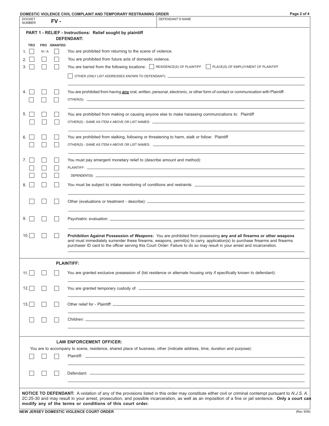| DOMESTIC VIOLENCE CIVIL COMPLAINT AND TEMPORARY RESTRAINING ORDER |
|-------------------------------------------------------------------|
|-------------------------------------------------------------------|

| Page 2 of 4 |
|-------------|
|             |

| <b>DOCKET</b><br><b>NUMBER</b> |     | $FV -$      | שטווובט ווט אוטבבוזטב טואוב טטוווו בתווז האוט ובוווו טולתולו ולבט וולחווזוס<br>DEFENDANT'S NAME                                                                                                                                                                                                                                                                                 |  |  |  |
|--------------------------------|-----|-------------|---------------------------------------------------------------------------------------------------------------------------------------------------------------------------------------------------------------------------------------------------------------------------------------------------------------------------------------------------------------------------------|--|--|--|
|                                |     |             | PART 1 - RELIEF - Instructions: Relief sought by plaintiff                                                                                                                                                                                                                                                                                                                      |  |  |  |
|                                |     |             | <b>DEFENDANT:</b>                                                                                                                                                                                                                                                                                                                                                               |  |  |  |
| <b>TRO</b>                     |     | FRO GRANTED |                                                                                                                                                                                                                                                                                                                                                                                 |  |  |  |
| 1.                             | N/A |             | You are prohibited from returning to the scene of violence.                                                                                                                                                                                                                                                                                                                     |  |  |  |
| 2.<br>3.                       |     |             | You are prohibited from future acts of domestic violence.<br>You are barred from the following locations: RESIDENCE(S) OF PLAINTIFF PLACE(S) OF EMPLOYMENT OF PLAINTIFF                                                                                                                                                                                                         |  |  |  |
|                                |     |             |                                                                                                                                                                                                                                                                                                                                                                                 |  |  |  |
|                                |     |             |                                                                                                                                                                                                                                                                                                                                                                                 |  |  |  |
| 4. I                           |     |             | You are prohibited from having any oral, written, personal, electronic, or other form of contact or communication with Plaintiff.                                                                                                                                                                                                                                               |  |  |  |
|                                |     |             |                                                                                                                                                                                                                                                                                                                                                                                 |  |  |  |
|                                |     |             |                                                                                                                                                                                                                                                                                                                                                                                 |  |  |  |
| 5.                             |     |             | You are prohibited from making or causing anyone else to make harassing communications to: Plaintiff                                                                                                                                                                                                                                                                            |  |  |  |
|                                |     |             | OTHER(S) - SAME AS ITEM 4 ABOVE OR LIST NAMES: _________________________________                                                                                                                                                                                                                                                                                                |  |  |  |
| 6.                             |     |             | You are prohibited from stalking, following or threatening to harm, stalk or follow: Plaintiff                                                                                                                                                                                                                                                                                  |  |  |  |
|                                |     |             |                                                                                                                                                                                                                                                                                                                                                                                 |  |  |  |
|                                |     |             |                                                                                                                                                                                                                                                                                                                                                                                 |  |  |  |
| 7.                             |     |             | You must pay emergent monetary relief to (describe amount and method):                                                                                                                                                                                                                                                                                                          |  |  |  |
|                                |     |             |                                                                                                                                                                                                                                                                                                                                                                                 |  |  |  |
|                                |     |             |                                                                                                                                                                                                                                                                                                                                                                                 |  |  |  |
| 8.                             |     |             |                                                                                                                                                                                                                                                                                                                                                                                 |  |  |  |
|                                |     |             |                                                                                                                                                                                                                                                                                                                                                                                 |  |  |  |
| 9.                             |     |             |                                                                                                                                                                                                                                                                                                                                                                                 |  |  |  |
| 10.                            |     |             | Prohibition Against Possession of Weapons: You are prohibited from possessing any and all firearms or other weapons<br>and must immediately surrender these firearms, weapons, permit(s) to carry, application(s) to purchase firearms and firearms<br>purchaser ID card to the officer serving this Court Order: Failure to do so may result in your arrest and incarceration. |  |  |  |
|                                |     |             | <b>PLAINTIFF:</b>                                                                                                                                                                                                                                                                                                                                                               |  |  |  |
| 11.                            |     |             | You are granted exclusive possession of (list residence or alternate housing only if specifically known to defendant):                                                                                                                                                                                                                                                          |  |  |  |
| 12.                            |     |             |                                                                                                                                                                                                                                                                                                                                                                                 |  |  |  |
|                                |     |             |                                                                                                                                                                                                                                                                                                                                                                                 |  |  |  |
| 13.                            |     |             |                                                                                                                                                                                                                                                                                                                                                                                 |  |  |  |
|                                |     |             |                                                                                                                                                                                                                                                                                                                                                                                 |  |  |  |
|                                |     |             |                                                                                                                                                                                                                                                                                                                                                                                 |  |  |  |
|                                |     |             | <b>LAW ENFORCEMENT OFFICER:</b>                                                                                                                                                                                                                                                                                                                                                 |  |  |  |
|                                |     |             | You are to accompany to scene, residence, shared place of business, other (indicate address, time, duration and purpose):                                                                                                                                                                                                                                                       |  |  |  |
|                                |     |             |                                                                                                                                                                                                                                                                                                                                                                                 |  |  |  |
|                                |     |             |                                                                                                                                                                                                                                                                                                                                                                                 |  |  |  |
|                                |     |             |                                                                                                                                                                                                                                                                                                                                                                                 |  |  |  |
|                                |     |             |                                                                                                                                                                                                                                                                                                                                                                                 |  |  |  |
|                                |     |             |                                                                                                                                                                                                                                                                                                                                                                                 |  |  |  |
|                                |     |             | NOTICE TO DEFENDANT: A violation of any of the provisions listed in this order may constitute either civil or criminal contempt pursuant to N.J.S. A.<br>2C:25-30 and may result in your arrest, prosecution, and possible incarceration, as well as an imposition of a fine or jail sentence. Only a court can                                                                 |  |  |  |
|                                |     |             | modify any of the terms or conditions of this court order.                                                                                                                                                                                                                                                                                                                      |  |  |  |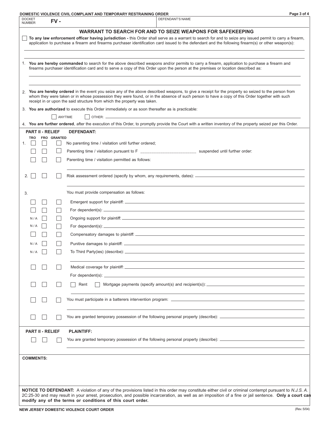| DOMESTIC VIOLENCE CIVIL COMPLAINT AND TEMPORARY RESTRAINING ORDER |  |
|-------------------------------------------------------------------|--|
|-------------------------------------------------------------------|--|

|    | <b>DOCKET</b><br><b>NUMBER</b> |                         | FV-         | <b>DEFENDANT'S NAME</b>                                                                                                                                                                                                                                                                                                                                                           |
|----|--------------------------------|-------------------------|-------------|-----------------------------------------------------------------------------------------------------------------------------------------------------------------------------------------------------------------------------------------------------------------------------------------------------------------------------------------------------------------------------------|
|    |                                |                         |             | <b>WARRANT TO SEARCH FOR AND TO SEIZE WEAPONS FOR SAFEKEEPING</b>                                                                                                                                                                                                                                                                                                                 |
|    |                                |                         |             | To any law enforcement officer having jurisdiction - this Order shall serve as a warrant to search for and to seize any issued permit to carry a firearm,<br>application to purchase a firearm and firearms purchaser identification card issued to the defendant and the following firearm(s) or other weapon(s):                                                                |
|    |                                |                         |             |                                                                                                                                                                                                                                                                                                                                                                                   |
|    |                                |                         |             | 1. You are hereby commanded to search for the above described weapons and/or permits to carry a firearm, application to purchase a firearm and<br>firearms purchaser identification card and to serve a copy of this Order upon the person at the premises or location described as:                                                                                              |
|    |                                |                         |             |                                                                                                                                                                                                                                                                                                                                                                                   |
|    |                                |                         |             | 2. You are hereby ordered in the event you seize any of the above described weapons, to give a receipt for the property so seized to the person from<br>whom they were taken or in whose possession they were found, or in the absence of such person to have a copy of this Order together with such<br>receipt in or upon the said structure from which the property was taken. |
|    |                                |                         |             | 3. You are authorized to execute this Order immediately or as soon thereafter as is practicable:                                                                                                                                                                                                                                                                                  |
|    |                                |                         | ANYTIME     |                                                                                                                                                                                                                                                                                                                                                                                   |
|    |                                | <b>PART II - RELIEF</b> |             | 4. You are further ordered, after the execution of this Order, to promptly provide the Court with a written inventory of the property seized per this Order.<br><b>DEFENDANT:</b>                                                                                                                                                                                                 |
|    | <b>TRO</b>                     |                         | FRO GRANTED |                                                                                                                                                                                                                                                                                                                                                                                   |
| 1. |                                | I.                      |             | No parenting time / visitation until further ordered;                                                                                                                                                                                                                                                                                                                             |
|    |                                |                         |             | Parenting time / visitation pursuant to F ____________________________ suspended until further order:                                                                                                                                                                                                                                                                             |
|    |                                |                         |             | Parenting time / visitation permitted as follows:                                                                                                                                                                                                                                                                                                                                 |
| 2. |                                |                         |             |                                                                                                                                                                                                                                                                                                                                                                                   |
| 3. |                                |                         |             | You must provide compensation as follows:                                                                                                                                                                                                                                                                                                                                         |
|    |                                |                         |             |                                                                                                                                                                                                                                                                                                                                                                                   |
|    |                                |                         |             | For dependent(s): $\overline{\phantom{a}}$                                                                                                                                                                                                                                                                                                                                        |
|    | N/A                            |                         |             |                                                                                                                                                                                                                                                                                                                                                                                   |
|    | N/A                            |                         |             | For dependent(s): $\qquad \qquad$                                                                                                                                                                                                                                                                                                                                                 |
|    |                                |                         |             |                                                                                                                                                                                                                                                                                                                                                                                   |
|    | N/A                            |                         |             |                                                                                                                                                                                                                                                                                                                                                                                   |
|    | N/A                            |                         |             |                                                                                                                                                                                                                                                                                                                                                                                   |
|    |                                |                         |             |                                                                                                                                                                                                                                                                                                                                                                                   |
|    |                                |                         |             |                                                                                                                                                                                                                                                                                                                                                                                   |
|    |                                |                         |             | Mortgage payments (specify amount(s) and recipient(s)): _________________________<br>Rent                                                                                                                                                                                                                                                                                         |
|    |                                |                         |             |                                                                                                                                                                                                                                                                                                                                                                                   |
|    |                                |                         |             | You are granted temporary possession of the following personal property (describe): _________________________                                                                                                                                                                                                                                                                     |
|    |                                | <b>PART II - RELIEF</b> |             | <b>PLAINTIFF:</b>                                                                                                                                                                                                                                                                                                                                                                 |
|    |                                |                         |             |                                                                                                                                                                                                                                                                                                                                                                                   |
|    | <b>COMMENTS:</b>               |                         |             |                                                                                                                                                                                                                                                                                                                                                                                   |
|    |                                |                         |             |                                                                                                                                                                                                                                                                                                                                                                                   |
|    |                                |                         |             |                                                                                                                                                                                                                                                                                                                                                                                   |
|    |                                |                         |             |                                                                                                                                                                                                                                                                                                                                                                                   |
|    |                                |                         |             | NOTICE TO DEFENDANT: A violation of any of the provisions listed in this order may constitute either civil or criminal contempt pursuant to N.J.S. A.                                                                                                                                                                                                                             |
|    |                                |                         |             | 2C:25-30 and may result in your arrest, prosecution, and possible incarceration, as well as an imposition of a fine or jail sentence. Only a court can<br>modify any of the terms or conditions of this court order.                                                                                                                                                              |
|    |                                |                         |             |                                                                                                                                                                                                                                                                                                                                                                                   |

**Page 3 of 4**